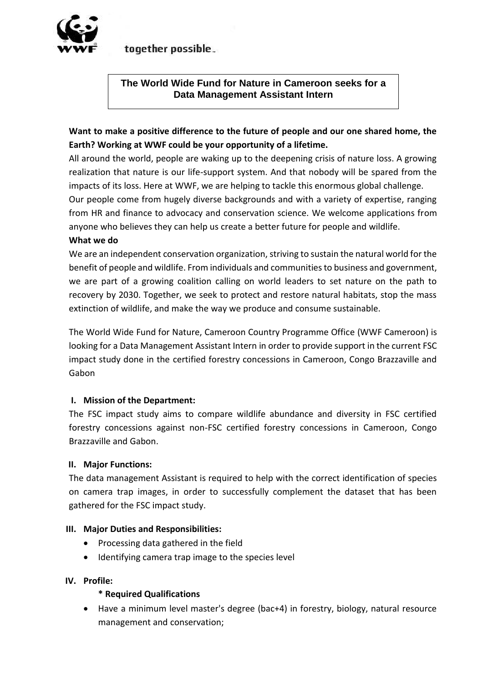

together possible.

# **The World Wide Fund for Nature in Cameroon seeks for a Data Management Assistant Intern**

# **Want to make a positive difference to the future of people and our one shared home, the Earth? Working at WWF could be your opportunity of a lifetime.**

All around the world, people are waking up to the deepening crisis of nature loss. A growing realization that nature is our life-support system. And that nobody will be spared from the impacts of its loss. Here at WWF, we are helping to tackle this enormous global challenge.

Our people come from hugely diverse backgrounds and with a variety of expertise, ranging from HR and finance to advocacy and conservation science. We welcome applications from anyone who believes they can help us create a better future for people and wildlife.

### **What we do**

We are an independent conservation organization, striving to sustain the natural world for the benefit of people and wildlife. From individuals and communities to business and government, we are part of a growing coalition calling on world leaders to set nature on the path to recovery by 2030. Together, we seek to protect and restore natural habitats, stop the mass extinction of wildlife, and make the way we produce and consume sustainable.

The World Wide Fund for Nature, Cameroon Country Programme Office (WWF Cameroon) is looking for a Data Management Assistant Intern in order to provide support in the current FSC impact study done in the certified forestry concessions in Cameroon, Congo Brazzaville and Gabon

#### **I. Mission of the Department:**

The FSC impact study aims to compare wildlife abundance and diversity in FSC certified forestry concessions against non-FSC certified forestry concessions in Cameroon, Congo Brazzaville and Gabon.

#### **II. Major Functions:**

The data management Assistant is required to help with the correct identification of species on camera trap images, in order to successfully complement the dataset that has been gathered for the FSC impact study.

#### **III. Major Duties and Responsibilities:**

- Processing data gathered in the field
- Identifying camera trap image to the species level

#### **IV. Profile:**

#### **\* Required Qualifications**

 Have a minimum level master's degree (bac+4) in forestry, biology, natural resource management and conservation;